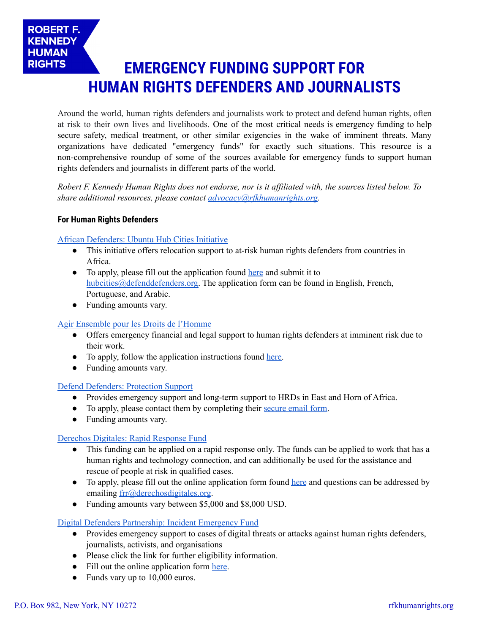# **EMERGENCY FUNDING SUPPORT FOR HUMAN RIGHTS DEFENDERS AND JOURNALISTS**

Around the world, human rights defenders and journalists work to protect and defend human rights, often at risk to their own lives and livelihoods. One of the most critical needs is emergency funding to help secure safety, medical treatment, or other similar exigencies in the wake of imminent threats. Many organizations have dedicated "emergency funds" for exactly such situations. This resource is a non-comprehensive roundup of some of the sources available for emergency funds to support human rights defenders and journalists in different parts of the world.

Robert F. Kennedy Human Rights does not endorse, nor is it affiliated with, the sources listed below. To *share additional resources, please contact [advocacy@rfkhumanrights.org](mailto:advocacy@rfkhumanrights.org).*

# **For Human Rights Defenders**

**ROBERT F. KENNEDY HUMAN RIGHTS** 

African [Defenders:](https://africandefenders.org/what-we-do/hub-cities/) Ubuntu Hub Cities Initiative

- This initiative offers relocation support to at-risk human rights defenders from countries in Africa.
- To apply, please fill out the application found [here](https://africandefenders.org/get-help/) and submit it to [hubcities@defenddefenders.org.](mailto:hubcities@defenddefenders.org) The application form can be found in English, French, Portuguese, and Arabic.
- Funding amounts vary.

## Agir [Ensemble](https://agir-ensemble-droits-humains.org/fr/fonds-urgence/) pour les Droits de l'Homme

- Offers emergency financial and legal support to human rights defenders at imminent risk due to their work.
- To apply, follow the application instructions found [here.](https://agir-ensemble-droits-humains.org/fr/fonds-urgence/)
- Funding amounts vary.

## Defend [Defenders:](https://defenddefenders.org/our-work/protection-and-security-management/protection-training/) Protection Support

- Provides emergency support and long-term support to HRDs in East and Horn of Africa.
- To apply, please contact them by completing their [secure](https://encrypt.to/0x12F4A574) email form.
- Funding amounts vary.

# Derechos [Digitales:](https://www.derechosdigitales.org/sobre-el-fondo-de-respuesta-rapida/) Rapid Response Fund

- This funding can be applied on a rapid response only. The funds can be applied to work that has a human rights and technology connection, and can additionally be used for the assistance and rescue of people at risk in qualified cases.
- To apply, please fill out the online application form found [here](https://www.derechosdigitales.org/formulario-de-postulacion-al-fondo-de-respuesta-rapido/) and questions can be addressed by emailing [frr@derechosdigitales.org.](mailto:frr@derechosdigitales.org)
- Funding amounts vary between \$5,000 and \$8,000 USD.

## Digital Defenders [Partnership:](https://www.digitaldefenders.org/funding/incident-emergency-fund/) Incident Emergency Fund

- Provides emergency support to cases of digital threats or attacks against human rights defenders, journalists, activists, and organisations
- Please click the link for further eligibility information.
- Fill out the online application form [here.](https://www.digitaldefenders.org/funding/incident-emergency-fund/ief-application/)
- Funds vary up to 10,000 euros.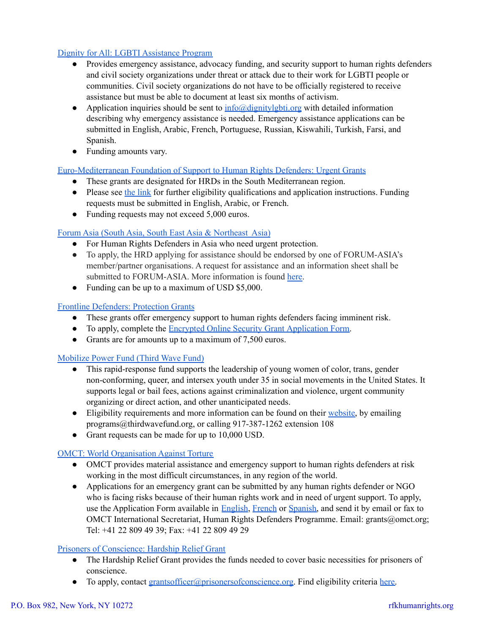# Dignity for All: LGBTI [Assistance](http://www.dignitylgbti.org/) Program

- Provides emergency assistance, advocacy funding, and security support to human rights defenders and civil society organizations under threat or attack due to their work for LGBTI people or communities. Civil society organizations do not have to be officially registered to receive assistance but must be able to document at least six months of activism.
- Application inquiries should be sent to  $\inf_{\Omega}$  (adignityle belong with detailed information describing why emergency assistance is needed. Emergency assistance applications can be submitted in English, Arabic, French, Portuguese, Russian, Kiswahili, Turkish, Farsi, and Spanish.
- Funding amounts vary.

## [Euro-Mediterranean](http://emhrf.org/urgent-grants/) Foundation of Support to Human Rights Defenders: Urgent Grants

- These grants are designated for HRDs in the South Mediterranean region.
- Please see the [link](http://emhrf.org/urgent-grants/) for further eligibility qualifications and application instructions. Funding requests must be submitted in English, Arabic, or French.
- Funding requests may not exceed 5,000 euros.

# Forum Asia (South Asia, South East Asia & [Northeast](http://www.forum-asia.org/?p=7302) Asia)

- For Human Rights Defenders in Asia who need urgent protection.
- To apply, the HRD applying for assistance should be endorsed by one of FORUM-ASIA's member/partner organisations. A request for assistance and an information sheet shall be submitted to FORUM-ASIA. More information is found [here.](https://www.forum-asia.org/?p=7302)
- Funding can be up to a maximum of USD \$5,000.

## Frontline [Defenders:](https://www.frontlinedefenders.org/en/programme/protection-grants) Protection Grants

- These grants offer emergency support to human rights defenders facing imminent risk.
- To apply, complete the Encrypted Online Security Grant [Application](https://www.frontlinedefenders.org/secure/grant.php?l=en) Form.
- Grants are for amounts up to a maximum of 7,500 euros.

## [Mobilize](https://thirdwavefund.org/mobilize-power-fund.html) Power Fund (Third Wave Fund)

- This rapid-response fund supports the leadership of young women of color, trans, gender non-conforming, queer, and intersex youth under 35 in social movements in the United States. It supports legal or bail fees, actions against criminalization and violence, urgent community organizing or direct action, and other unanticipated needs.
- Eligibility requirements and more information can be found on their [website,](https://thirdwavefund.org/mobilize-power-fund.html) by emailing programs@thirdwavefund.org, or calling 917-387-1262 extension 108
- Grant requests can be made for up to 10,000 USD.

## OMCT: World [Organisation](https://www.omct.org/en/resources/news/emergency-material-support-to-human-rights-defenders-at-risk) Against Torture

- OMCT provides material assistance and emergency support to human rights defenders at risk working in the most difficult circumstances, in any region of the world.
- Applications for an emergency grant can be submitted by any human rights defender or NGO who is facing risks because of their human rights work and in need of urgent support. To apply, use the Application Form available in [English](http://www.omct.org/files/2015/10/23598/form_emergency_assistance_hrd_eng.doc), [French](http://www.omct.org/files/2015/10/23598/formulaire_assistance_durgence_hrd_fr.doc) or [Spanish,](http://www.omct.org/files/2015/10/23598/formulario_asistencia_de_emergencia_hrd_esp.doc) and send it by email or fax to OMCT International Secretariat, Human Rights Defenders Programme. Email: grants@omct.org; Tel: +41 22 809 49 39; Fax: +41 22 809 49 29

## Prisoners of [Conscience:](https://www.prisonersofconscience.org/grants/) Hardship Relief Grant

- The Hardship Relief Grant provides the funds needed to cover basic necessities for prisoners of conscience.
- To apply, contact [grantsofficer@prisonersofconscience.org.](mailto:grantsofficer@prisonersofconscience.org) Find eligibility criteria [here.](https://www.prisonersofconscience.org/grants/application-guidelines/)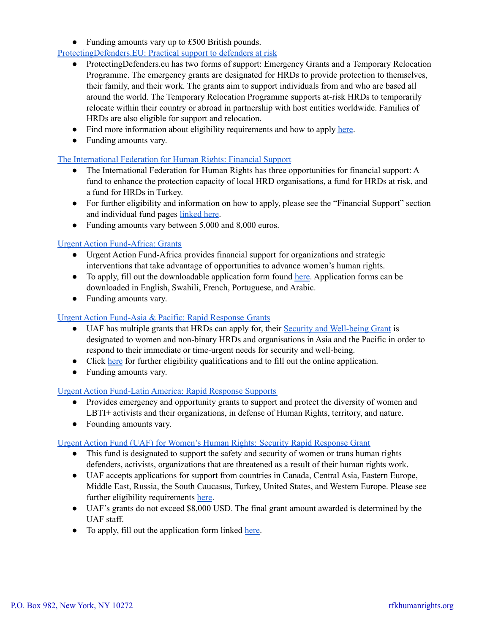• Funding amounts vary up to £500 British pounds.

# [ProtectingDefenders.EU:](https://protectdefenders.eu/protecting-defenders/#emergency) Practical support to defenders at risk

- ProtectingDefenders.eu has two forms of support: Emergency Grants and a Temporary Relocation Programme. The emergency grants are designated for HRDs to provide protection to themselves, their family, and their work. The grants aim to support individuals from and who are based all around the world. The Temporary Relocation Programme supports at-risk HRDs to temporarily relocate within their country or abroad in partnership with host entities worldwide. Families of HRDs are also eligible for support and relocation.
- Find more information about eligibility requirements and how to apply [here](https://protectdefenders.eu/protecting-defenders/#emergency).
- Funding amounts vary.

# The [International](https://www.fidh.org/en/issues/human-rights-defenders/) Federation for Human Rights: Financial Support

- The International Federation for Human Rights has three opportunities for financial support: A fund to enhance the protection capacity of local HRD organisations, a fund for HRDs at risk, and a fund for HRDs in Turkey.
- For further eligibility and information on how to apply, please see the "Financial Support" section and individual fund pages [linked](https://www.fidh.org/en/issues/human-rights-defenders/) here.
- Funding amounts vary between 5,000 and 8,000 euros.

# Urgent Action [Fund-Africa:](https://www.uaf-africa.org/apply-for-a-grant/) Grants

- Urgent Action Fund-Africa provides financial support for organizations and strategic interventions that take advantage of opportunities to advance women's human rights.
- To apply, fill out the downloadable application form found [here](https://www.uaf-africa.org/apply-for-a-grant/). Application forms can be downloaded in English, Swahili, French, Portuguese, and Arabic.
- Funding amounts vary.

# Urgent Action [Fund-Asia](https://uafanp.org/our_grants) & Pacific: Rapid Response Grants

- UAF has multiple grants that HRDs can apply for, their Security and [Well-being](https://uafanp.org/security_and_well_being_grant) Grant is designated to women and non-binary HRDs and organisations in Asia and the Pacific in order to respond to their immediate or time-urgent needs for security and well-being.
- Click [here](https://uafanp.org/security_and_well_being_grant) for further eligibility qualifications and to fill out the online application.
- Funding amounts vary.

# Urgent Action [Fund-Latin](https://sigueme.fondoaccionurgente.org.co/) America: Rapid Response Supports

- Provides emergency and opportunity grants to support and protect the diversity of women and LBTI+ activists and their organizations, in defense of Human Rights, territory, and nature.
- Founding amounts vary.

## Urgent Action Fund (UAF) for Women's Human Rights: Security Rapid [Response](https://urgentactionfund.org/apply-for-a-grant/criteriado-i-fit/) Grant

- This fund is designated to support the safety and security of women or trans human rights defenders, activists, organizations that are threatened as a result of their human rights work.
- UAF accepts applications for support from countries in Canada, Central Asia, Eastern Europe, Middle East, Russia, the South Caucasus, Turkey, United States, and Western Europe. Please see further eligibility requirements [here](https://urgentactionfund.org/apply-for-a-grant/criteriado-i-fit/).
- UAF's grants do not exceed \$8,000 USD. The final grant amount awarded is determined by the UAF staff.
- To apply, fill out the application form linked [here.](https://urgentactionfund.org/security-rapid-response-grant-application/)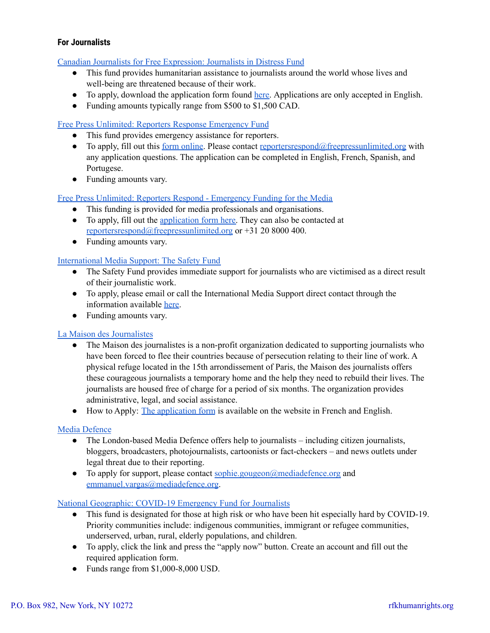# **For Journalists**

Canadian Journalists for Free [Expression:](https://www.cjfe.org/journalists_in_distress_fund) Journalists in Distress Fund

- This fund provides humanitarian assistance to journalists around the world whose lives and well-being are threatened because of their work.
- To apply, download the application form found [here.](https://d3n8a8pro7vhmx.cloudfront.net/cjfe/pages/928/attachments/original/1459890891/Application_Form_for_JID_Program_2016.pdf?1459890891) Applications are only accepted in English.
- Funding amounts typically range from \$500 to \$1,500 CAD.

## Free Press Unlimited: Reporters Response [Emergency](https://www.freepressunlimited.org/en/application-form-reporters-respond) Fund

- This fund provides emergency assistance for reporters.
- To apply, fill out this <u>form online</u>. Please contact <u>reporters respond</u>@freepressunlimited.org with any application questions. The application can be completed in English, French, Spanish, and Portugese.
- Funding amounts vary.

Free Press Unlimited: Reporters Respond - [Emergency](https://www.freepressunlimited.org/en/safety-for-journalists/emergency-support) Funding for the Media

- This funding is provided for media professionals and organisations.
- To apply, fill out the [application](https://www.freepressunlimited.org/en/application-form-reporters-respond) form here. They can also be contacted at [reportersrespond@freepressunlimited.org](mailto:reportersrespond@freepressunlimited.org) or +31 20 8000 400.
- Funding amounts vary.

## [International](https://www.mediasupport.org/what-we-do/safety-for-journalists/#safety-fund) Media Support: The Safety Fund

- The Safety Fund provides immediate support for journalists who are victimised as a direct result of their journalistic work.
- To apply, please email or call the International Media Support direct contact through the information available [here.](https://www.mediasupport.org/what-we-do/safety-for-journalists/#safety-fund)
- Funding amounts vary.

## La Maison des [Journalistes](http://www.maisondesjournalistes.org/about-la-maison-des-journalistes/)

- The Maison des journalistes is a non-profit organization dedicated to supporting journalists who have been forced to flee their countries because of persecution relating to their line of work. A physical refuge located in the 15th arrondissement of Paris, the Maison des journalists offers these courageous journalists a temporary home and the help they need to rebuild their lives. The journalists are housed free of charge for a period of six months. The organization provides administrative, legal, and social assistance.
- How to Apply: The [application](http://www.maisondesjournalistes.org/formulaire-dentree-application-form/) form is available on the website in French and English.

## Media [Defence](https://www.mediadefence.org/apply-for-case-support/)

- $\bullet$  The London-based Media Defence offers help to journalists including citizen journalists, bloggers, broadcasters, photojournalists, cartoonists or fact-checkers – and news outlets under legal threat due to their reporting.
- To apply for support, please contact  $\frac{\text{sophie.gougeon}(a) \text{mediadefence.org}}{\text{mediadefence.org}}$ [emmanuel.vargas@mediadefence.org](mailto:emmanuel.vargas@mediadefence.org).

## National [Geographic:](https://www.nationalgeographic.org/funding-opportunities/grants/what-we-fund/covid-19-emergency-fund/) COVID-19 Emergency Fund for Journalists

- This fund is designated for those at high risk or who have been hit especially hard by COVID-19. Priority communities include: indigenous communities, immigrant or refugee communities, underserved, urban, rural, elderly populations, and children.
- To apply, click the link and press the "apply now" button. Create an account and fill out the required application form.
- **●** Funds range from \$1,000-8,000 USD.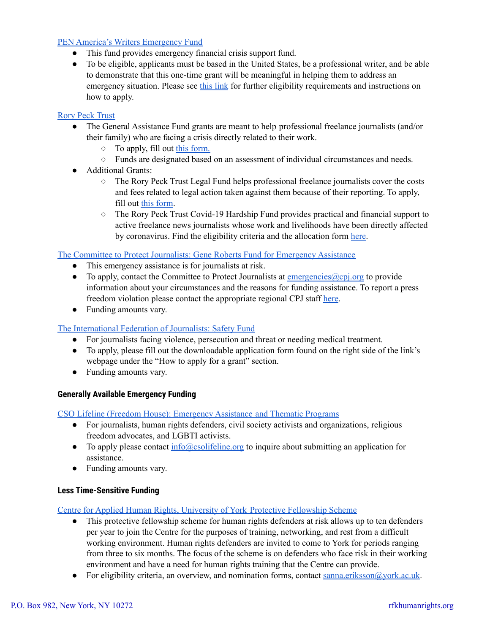# PEN America's Writers [Emergency](https://pen.org/writers-emergency-fund/) Fund

- This fund provides emergency financial crisis support fund.
- To be eligible, applicants must be based in the United States, be a professional writer, and be able to demonstrate that this one-time grant will be meaningful in helping them to address an emergency situation. Please see this [link](https://pen.org/writers-emergency-fund/) for further eligibility requirements and instructions on how to apply.

# Rory Peck [Trust](https://rorypecktrust.org/freelance-assistance/assistance-fund/)

- The General Assistance Fund grants are meant to help professional freelance journalists (and/or their family) who are facing a crisis directly related to their work.
	- To apply, fill out this [form.](https://docs.google.com/forms/d/e/1FAIpQLSeaOe3SowXDj6h83d40OX78OK0zaqRYwPe7vEil9nO84gr7_w/viewform)
	- Funds are designated based on an assessment of individual circumstances and needs.
- Additional Grants:
	- The Rory Peck Trust Legal Fund helps professional freelance journalists cover the costs and fees related to legal action taken against them because of their reporting. To apply, fill out this [form](https://docs.google.com/forms/d/e/1FAIpQLSfVdCdpynwZHXhmTowXM_Nku6jMuHQwly5HE2E6Jw0x5qmOoA/viewform).
	- The Rory Peck Trust Covid-19 Hardship Fund provides practical and financial support to active freelance news journalists whose work and livelihoods have been directly affected by coronavirus. Find the eligibility criteria and the allocation form [here](https://rorypecktrust.org/freelance-assistance/covid-fund/).

The Committee to Protect [Journalists:](https://cpj.org/emergency-response/the-gene-roberts-fund-for-emergency-assistance/) Gene Roberts Fund for Emergency Assistance

- This emergency assistance is for journalists at risk.
- To apply, contact the Committee to Protect Journalists at  $\frac{\text{emergencies}}{(\text{Qcpj.org})}$  to provide information about your circumstances and the reasons for funding assistance. To report a press freedom violation please contact the appropriate regional CPJ staff [here](https://cpj.org/emergency-response/how-to-get-help/).
- Funding amounts vary.

## The [International](https://www.ifj.org/safety-fund.html) Federation of Journalists: Safety Fund

- For journalists facing violence, persecution and threat or needing medical treatment.
- To apply, please fill out the downloadable application form found on the right side of the link's webpage under the "How to apply for a grant" section.
- Funding amounts vary.

## **Generally Available Emergency Funding**

CSO Lifeline (Freedom House): [Emergency](https://freedomhouse.org/programs/emergency-assistance-and-thematic-programs) Assistance and Thematic Programs

- For journalists, human rights defenders, civil society activists and organizations, religious freedom advocates, and LGBTI activists.
- To apply please contact [info@csolifeline.org](mailto:info@csolifeline.org) to inquire about submitting an application for assistance.
- Funding amounts vary.

## **Less Time-Sensitive Funding**

Centre for Applied Human Rights, University of York Protective [Fellowship](https://www.york.ac.uk/cahr/human-rights-defenders/protective-fellowship/) Scheme

- This protective fellowship scheme for human rights defenders at risk allows up to ten defenders per year to join the Centre for the purposes of training, networking, and rest from a difficult working environment. Human rights defenders are invited to come to York for periods ranging from three to six months. The focus of the scheme is on defenders who face risk in their working environment and have a need for human rights training that the Centre can provide.
- For eligibility criteria, an overview, and nomination forms, contact [sanna.eriksson@york.ac.uk.](mailto:sanna.eriksson@york.ac.uk)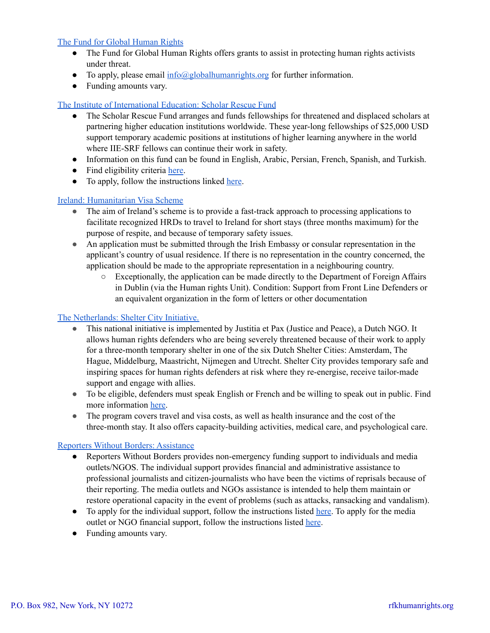## The Fund for Global [Human](https://globalhumanrights.org/) Rights

- The Fund for Global Human Rights offers grants to assist in protecting human rights activists under threat.
- To apply, please email  $\frac{info@globalhuman rights.org}{info@globalhuman rights.org}$  for further information.
- Funding amounts vary.

## The Institute of [International](https://www.scholarrescuefund.org/for-scholars/) Education: Scholar Rescue Fund

- The Scholar Rescue Fund arranges and funds fellowships for threatened and displaced scholars at partnering higher education institutions worldwide. These year-long fellowships of \$25,000 USD support temporary academic positions at institutions of higher learning anywhere in the world where IIE-SRF fellows can continue their work in safety.
- Information on this fund can be found in English, Arabic, Persian, French, Spanish, and Turkish.
- Find eligibility criteria [here](https://www.scholarrescuefund.org/for-scholars/).
- To apply, follow the instructions linked [here](https://www.scholarrescuefund.org/applicants/instructions-and-application/).

## Ireland: [Humanitarian](https://www.sessizkalma.org/en/support/ireland-humanitarian-visa-scheme-for-hrds/) Visa Scheme

- The aim of Ireland's scheme is to provide a fast-track approach to processing applications to facilitate recognized HRDs to travel to Ireland for short stays (three months maximum) for the purpose of respite, and because of temporary safety issues.
- An application must be submitted through the Irish Embassy or consular representation in the applicant's country of usual residence. If there is no representation in the country concerned, the application should be made to the appropriate representation in a neighbouring country.
	- Exceptionally, the application can be made directly to the Department of Foreign Affairs in Dublin (via the Human rights Unit). Condition: Support from Front Line Defenders or an equivalent organization in the form of letters or other documentation

## The [Netherlands:](https://sheltercity.nl/shelter-city-netherlands-call-for-applications-for-september-2021/) Shelter City Initiative.

- This national initiative is implemented by Justitia et Pax (Justice and Peace), a Dutch NGO. It allows human rights defenders who are being severely threatened because of their work to apply for a three-month temporary shelter in one of the six Dutch Shelter Cities: Amsterdam, The Hague, Middelburg, Maastricht, Nijmegen and Utrecht. Shelter City provides temporary safe and inspiring spaces for human rights defenders at risk where they re-energise, receive tailor-made support and engage with allies.
- To be eligible, defenders must speak English or French and be willing to speak out in public. Find more information [here.](https://sheltercity.nl/shelter-city-netherlands-call-for-applications-for-september-2021/)
- The program covers travel and visa costs, as well as health insurance and the cost of the three-month stay. It also offers capacity-building activities, medical care, and psychological care.

## Reporters Without Borders: [Assistance](https://rsf.org/en/individual-support)

- Reporters Without Borders provides non-emergency funding support to individuals and media outlets/NGOS. The individual support provides financial and administrative assistance to professional journalists and citizen-journalists who have been the victims of reprisals because of their reporting. The media outlets and NGOs assistance is intended to help them maintain or restore operational capacity in the event of problems (such as attacks, ransacking and vandalism).
- To apply for the individual support, follow the instructions listed [here](https://rsf.org/en/individual-support). To apply for the media outlet or NGO financial support, follow the instructions listed [here](https://rsf.org/en/supporting-media-outlets-and-ngos).
- Funding amounts vary.